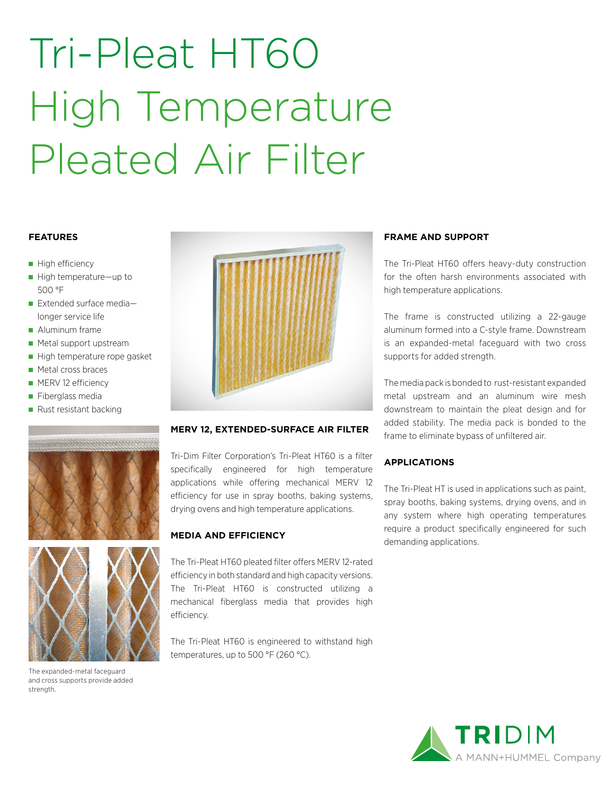# Tri-Pleat HT60 High Temperature Pleated Air Filter

### **FEATURES**

- High efficiency
- High temperature—up to 500 °F
- $\blacksquare$  Extended surface medialonger service life
- **Aluminum frame**
- **Metal support upstream**
- High temperature rope gasket
- Metal cross braces
- **MERV 12 efficiency**
- Fiberglass media
- Rust resistant backing





The expanded-metal faceguard and cross supports provide added strength.



#### **MERV 12, EXTENDED-SURFACE AIR FILTER**

Tri-Dim Filter Corporation's Tri-Pleat HT60 is a filter specifically engineered for high temperature applications while offering mechanical MERV 12 efficiency for use in spray booths, baking systems, drying ovens and high temperature applications.

### **MEDIA AND EFFICIENCY**

The Tri-Pleat HT60 pleated filter offers MERV 12-rated efficiency in both standard and high capacity versions. The Tri-Pleat HT60 is constructed utilizing a mechanical fiberglass media that provides high efficiency.

The Tri-Pleat HT60 is engineered to withstand high temperatures, up to 500 °F (260 °C).

### **FRAME AND SUPPORT**

The Tri-Pleat HT60 offers heavy-duty construction for the often harsh environments associated with high temperature applications.

The frame is constructed utilizing a 22-gauge aluminum formed into a C-style frame. Downstream is an expanded-metal faceguard with two cross supports for added strength.

The media pack is bonded to rust-resistant expanded metal upstream and an aluminum wire mesh downstream to maintain the pleat design and for added stability. The media pack is bonded to the frame to eliminate bypass of unfiltered air.

### **APPLICATIONS**

The Tri-Pleat HT is used in applications such as paint, spray booths, baking systems, drying ovens, and in any system where high operating temperatures require a product specifically engineered for such demanding applications.